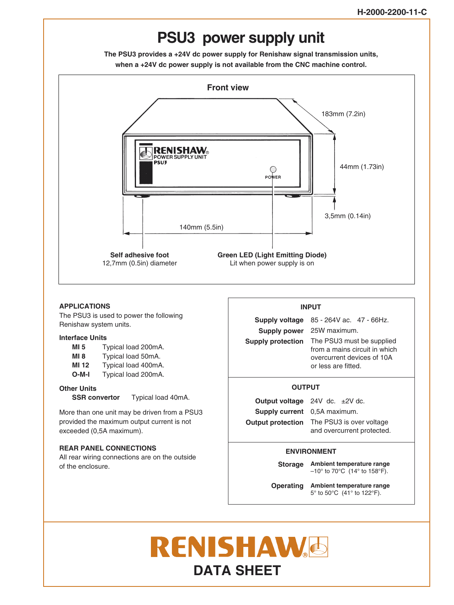# **PSU3 power supply unit**

**The PSU3 provides a +24V dc power supply for Renishaw signal transmission units, when a +24V dc power supply is not available from the CNC machine control.**



## **APPLICATIONS INPUT**

The PSU3 is used to power the following Renishaw system units.

## **Interface Units**

| MI 5        | Typical load 200mA. |
|-------------|---------------------|
| <b>MI 8</b> | Typical load 50mA.  |
| MI 12       | Typical load 400mA. |
| $O-M-I$     | Typical load 200mA. |

## **Other Units**

**SSR convertor** Typical load 40mA.

More than one unit may be driven from a PSU3 provided the maximum output current is not exceeded (0,5A maximum).

## **REAR PANEL CONNECTIONS**

All rear wiring connections are on the outside of the enclosure.

**Supply voltage** 85 - 264V ac. 47 - 66Hz. Supply power 25W maximum. **Supply protection** The PSU3 must be supplied from a mains circuit in which overcurrent devices of 10A or less are fitted.

## **OUTPUT**

**Output voltage** 24V dc. ±2V dc. **Supply current** 0,5A maximum. **Output protection** The PSU3 is over voltage and overcurrent protected.

## **ENVIRONMENT**

**Ambient temperature range Storage**

 $-10^{\circ}$  to 70°C (14° to 158°F).

**Operating Ambient temperature range** 5° to 50°C (41° to 122°F).

# **RENISHAW& DATA SHEET**